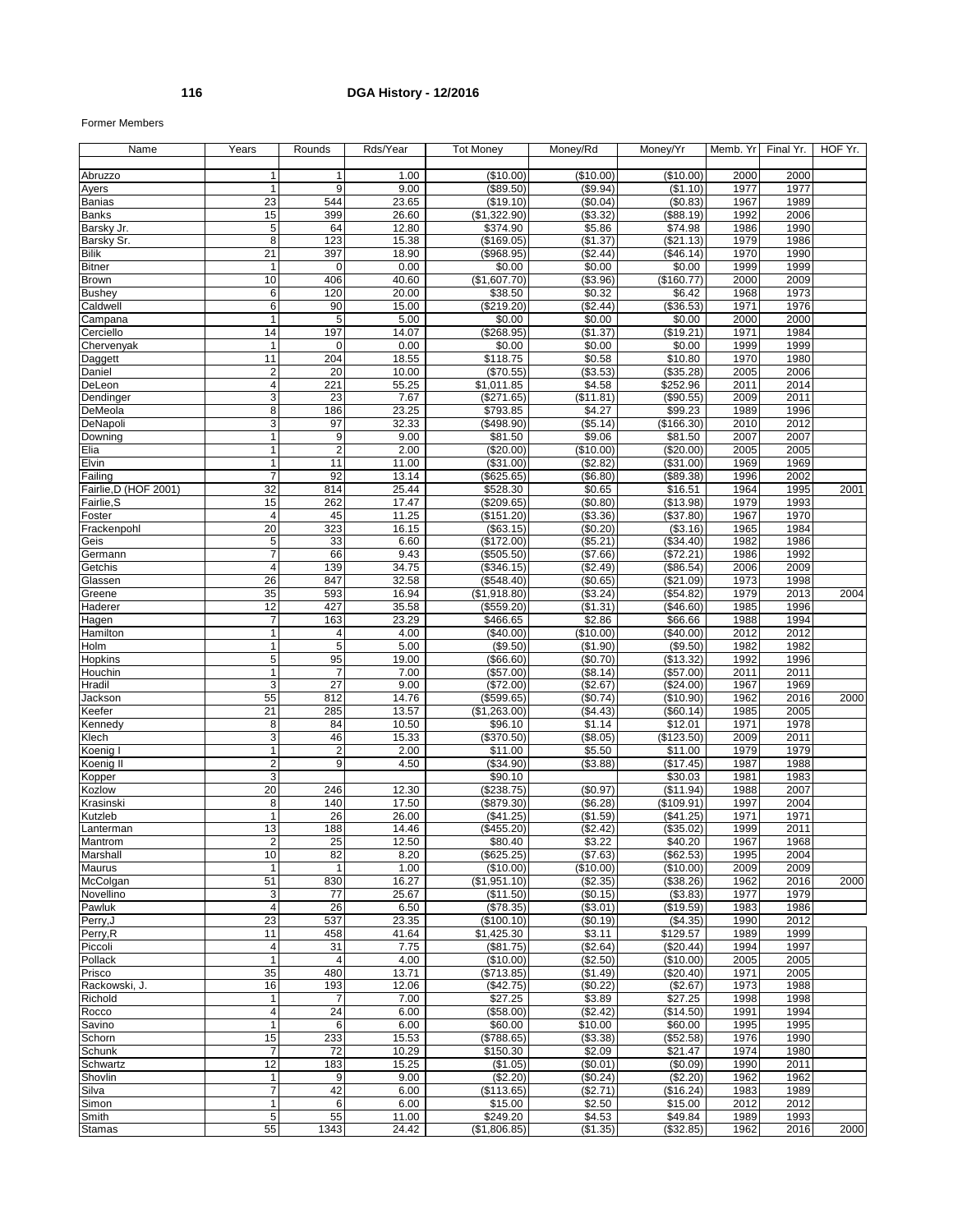## **116 DGA History - 12/2016**

## Former Members

| Name                     | Years                        | Rounds                | Rds/Year       | <b>Tot Money</b>         | Money/Rd              | Money/Yr               | Memb. Yr     | Final Yr.    | HOF Yr. |
|--------------------------|------------------------------|-----------------------|----------------|--------------------------|-----------------------|------------------------|--------------|--------------|---------|
| Abruzzo                  | $\mathbf{1}$                 | $\mathbf{1}$          | 1.00           | (\$10.00)                | (\$10.00)             | (\$10.00)              | 2000         | 2000         |         |
| Ayers                    | $\mathbf{1}$                 | 9                     | 9.00           | ( \$89.50)               | (\$9.94)              | (\$1.10)               | 1977         | 1977         |         |
| Banias                   | 23                           | 544                   | 23.65          | (\$19.10)                | (\$0.04)              | (\$0.83)               | 1967         | 1989         |         |
| Banks                    | 15                           | 399                   | 26.60          | (\$1,322.90)             | ( \$3.32)             | (\$88.19)              | 1992         | 2006         |         |
| Barsky Jr.               | 5                            | 64                    | 12.80          | \$374.90                 | \$5.86                | \$74.98                | 1986         | 1990         |         |
| Barsky Sr.               | $\overline{8}$               | 123                   | 15.38          | (\$169.05)               | (\$1.37)              | (\$21.13)              | 1979         | 1986         |         |
| <b>Bilik</b>             | 21                           | 397                   | 18.90<br>0.00  | (\$968.95)<br>\$0.00     | (\$2.44)<br>\$0.00    | (\$46.14)<br>\$0.00    | 1970<br>1999 | 1990<br>1999 |         |
| Bitner<br>Brown          | 1<br>10                      | 0<br>406              | 40.60          | (\$1,607.70)             | ( \$3.96)             | (\$160.77)             | 2000         | 2009         |         |
| <b>Bushey</b>            | 6                            | 120                   | 20.00          | \$38.50                  | \$0.32                | \$6.42                 | 1968         | 1973         |         |
| Caldwell                 | $6\overline{6}$              | 90                    | 15.00          | (\$219.20)               | (\$2.44)              | (\$36.53)              | 1971         | 1976         |         |
| Campana                  | $\mathbf{1}$                 | 5                     | 5.00           | \$0.00                   | \$0.00                | \$0.00                 | 2000         | 2000         |         |
| Cerciello                | 14                           | 197                   | 14.07          | ( \$268.95)              | (\$1.37)              | (\$19.21)              | 1971         | 1984         |         |
| Chervenyak               | $\mathbf{1}$                 | 0                     | 0.00           | \$0.00                   | \$0.00                | \$0.00                 | 1999         | 1999         |         |
| Daggett                  | 11                           | 204                   | 18.55          | \$118.75                 | \$0.58                | \$10.80                | 1970         | 1980         |         |
| Daniel                   | $\overline{c}$               | 20                    | 10.00          | (\$70.55)                | ( \$3.53)             | (\$35.28)              | 2005<br>2011 | 2006<br>2014 |         |
| DeLeon<br>Dendinger      | 4<br>3                       | 221<br>23             | 55.25<br>7.67  | \$1,011.85<br>(\$271.65) | \$4.58<br>(\$11.81)   | \$252.96<br>(\$90.55)  | 2009         | 2011         |         |
| DeMeola                  | 8                            | 186                   | 23.25          | \$793.85                 | \$4.27                | \$99.23                | 1989         | 1996         |         |
| DeNapoli                 | 3                            | 97                    | 32.33          | (\$498.90)               | $($ \$5.14)           | (\$166.30)             | 2010         | 2012         |         |
| Downing                  | $\overline{1}$               | $9\,$                 | 9.00           | \$81.50                  | \$9.06                | \$81.50                | 2007         | 2007         |         |
| Elia                     | $\mathbf{1}$                 | $\overline{2}$        | 2.00           | (\$20.00)                | (\$10.00)             | (\$20.00)              | 2005         | 2005         |         |
| Elvin                    | $\overline{1}$               | 11                    | 11.00          | ( \$31.00)               | ( \$2.82)             | ( \$31.00)             | 1969         | 1969         |         |
| Failing                  | $\overline{7}$               | 92                    | 13.14          | (\$625.65)               | $($ \$6.80)           | (\$89.38)              | 1996         | 2002         |         |
| Fairlie,D (HOF 2001)     | 32                           | 814                   | 25.44          | \$528.30                 | \$0.65                | \$16.51                | 1964         | 1995         | 2001    |
| Fairlie, S<br>Foster     | 15<br>4                      | 262<br>45             | 17.47<br>11.25 | (\$209.65)<br>(\$151.20) | (\$0.80)<br>( \$3.36) | (\$13.98)<br>(\$37.80) | 1979<br>1967 | 1993<br>1970 |         |
| Frackenpohl              | 20                           | 323                   | 16.15          | ( \$63.15)               | (\$0.20)              | ( \$3.16)              | 1965         | 1984         |         |
| Geis                     | 5                            | 33                    | 6.60           | (\$172.00)               | (\$5.21)              | ( \$34.40)             | 1982         | 1986         |         |
| Germann                  | $\overline{\mathcal{I}}$     | 66                    | 9.43           | (\$505.50)               | ( \$7.66)             | (\$72.21)              | 1986         | 1992         |         |
| Getchis                  | $\pmb{4}$                    | 139                   | 34.75          | (\$346.15)               | (\$2.49)              | (\$86.54)              | 2006         | 2009         |         |
| Glassen                  | 26                           | 847                   | 32.58          | ( \$548.40)              | (\$0.65)              | (\$21.09)              | 1973         | 1998         |         |
| Greene                   | 35                           | 593                   | 16.94          | (\$1,918.80)             | (\$3.24)              | (\$54.82)              | 1979         | 2013         | 2004    |
| Haderer                  | 12                           | 427                   | 35.58          | $($ \$559.20)            | (\$1.31)              | (\$46.60)              | 1985         | 1996         |         |
| Hagen                    | $\overline{\mathcal{I}}$     | 163                   | 23.29          | \$466.65                 | \$2.86                | \$66.66                | 1988         | 1994         |         |
| Hamilton<br>Holm         | $\mathbf{1}$<br>$\mathbf{1}$ | 4<br>5                | 4.00<br>5.00   | (\$40.00)<br>( \$9.50)   | (\$10.00)<br>(\$1.90) | (\$40.00)<br>(\$9.50)  | 2012<br>1982 | 2012<br>1982 |         |
| Hopkins                  | 5                            | 95                    | 19.00          | (\$66.60)                | (\$0.70)              | (\$13.32)              | 1992         | 1996         |         |
| Houchin                  | $\mathbf{1}$                 | $\overline{7}$        | 7.00           | (\$57.00)                | (\$8.14)              | (\$57.00)              | 2011         | 2011         |         |
| Hradil                   | 3                            | 27                    | 9.00           | (\$72.00)                | (\$2.67)              | (\$24.00)              | 1967         | 1969         |         |
| Jackson                  | 55                           | 812                   | 14.76          | (\$599.65)               | (\$0.74)              | (\$10.90)              | 1962         | 2016         | 2000    |
| Keefer                   | 21                           | 285                   | 13.57          | (\$1,263.00)             | ( \$4.43)             | ( \$60.14)             | 1985         | 2005         |         |
| Kennedy                  | 8                            | 84                    | 10.50          | \$96.10                  | \$1.14                | \$12.01                | 1971         | 1978         |         |
| Klech<br>Koenig I        | 3<br>$\mathbf{1}$            | 46<br>$\sqrt{2}$      | 15.33<br>2.00  | (\$370.50)<br>\$11.00    | $*($8.05)$<br>\$5.50  | (\$123.50)<br>\$11.00  | 2009<br>1979 | 2011<br>1979 |         |
| Koenig II                | $\overline{2}$               | 9                     | 4.50           | (\$34.90)                | ( \$3.88)             | (\$17.45)              | 1987         | 1988         |         |
| Kopper                   | 3                            |                       |                | \$90.10                  |                       | \$30.03                | 1981         | 1983         |         |
| Kozlow                   | $\overline{20}$              | 246                   | 12.30          | (\$238.75)               | (\$0.97)              | (\$11.94)              | 1988         | 2007         |         |
| Krasinski                | 8                            | 140                   | 17.50          | (\$879.30)               | $($ \$6.28)           | (\$109.91)             | 1997         | 2004         |         |
| Kutzleb                  | $\mathbf{1}$                 | 26                    | 26.00          | (\$41.25)                | (\$1.59)              | (\$41.25)              | 1971         | 1971         |         |
| Lanterman                | 13                           | 188                   | 14.46          | (\$455.20)               | (\$2.42)              | (\$35.02)              | 1999         | 2011         |         |
| Mantrom                  | 2                            | 25                    | 12.50          | \$80.40                  | \$3.22                | \$40.20                | 1967         | 1968         |         |
| Marshall<br>Maurus       | 10<br>1                      | 82<br>$\mathbf{1}$    | 8.20<br>1.00   | (\$625.25)<br>(\$10.00)  | (\$7.63)<br>(\$10.00) | (\$62.53)<br>(\$10.00) | 1995<br>2009 | 2004<br>2009 |         |
| McColgan                 | 51                           | 830                   | 16.27          | (\$1,951.10)             | (\$2.35)              | (\$38.26)              | 1962         | 2016         | 2000    |
| Novellino                | 3                            | 77                    | 25.67          | (\$11.50)                | (\$0.15)              | (\$3.83)               | 1977         | 1979         |         |
| Pawluk                   | 4                            | 26                    | 6.50           | (\$78.35)                | ( \$3.01)             | (\$19.59)              | 1983         | 1986         |         |
| Perry, J                 | 23                           | 537                   | 23.35          | (\$100.10)               | (\$0.19)              | (\$4.35)               | 1990         | 2012         |         |
| Perry,R                  | 11                           | 458                   | 41.64          | \$1,425.30               | \$3.11                | \$129.57               | 1989         | 1999         |         |
| Piccoli                  | 4                            | 31                    | 7.75           | (\$81.75)                | (\$2.64)              | $(\$20.44)$            | 1994         | 1997         |         |
| Pollack                  | $\mathbf{1}$                 | 4                     | 4.00           | (\$10.00)                | (\$2.50)              | (\$10.00)              | 2005         | 2005         |         |
| Prisco                   | 35                           | 480                   | 13.71          | (\$713.85)               | (\$1.49)              | (\$20.40)              | 1971         | 2005         |         |
| Rackowski, J.<br>Richold | 16<br>1                      | 193<br>$\overline{7}$ | 12.06<br>7.00  | (\$42.75)<br>\$27.25     | (\$0.22)<br>\$3.89    | (\$2.67)<br>\$27.25    | 1973<br>1998 | 1988<br>1998 |         |
| Rocco                    | 4                            | 24                    | 6.00           | (\$58.00)                | (\$2.42)              | (\$14.50)              | 1991         | 1994         |         |
| Savino                   | $\mathbf{1}$                 | 6                     | 6.00           | \$60.00                  | \$10.00               | \$60.00                | 1995         | 1995         |         |
| Schorn                   | 15                           | 233                   | 15.53          | (\$788.65)               | ( \$3.38)             | (\$52.58)              | 1976         | 1990         |         |
| Schunk                   | $\overline{7}$               | 72                    | 10.29          | \$150.30                 | \$2.09                | \$21.47                | 1974         | 1980         |         |
| Schwartz                 | 12                           | 183                   | 15.25          | (\$1.05)                 | (\$0.01)              | (\$0.09)               | 1990         | 2011         |         |
| Shovlin                  | $\mathbf{1}$                 | 9                     | 9.00           | (\$2.20)                 | (\$0.24)              | (\$2.20)               | 1962         | 1962         |         |
| Silva                    | $\boldsymbol{7}$             | 42                    | 6.00           | (\$113.65)               | (\$2.71)              | (\$16.24)              | 1983         | 1989         |         |
| Simon                    | $\mathbf{1}$                 | 6                     | 6.00           | \$15.00                  | \$2.50                | \$15.00                | 2012         | 2012         |         |
| Smith                    | 5                            | 55                    | 11.00          | \$249.20                 | \$4.53                | \$49.84                | 1989         | 1993         |         |
| Stamas                   | 55                           | 1343                  | 24.42          | (\$1,806.85)             | (\$1.35)              | (\$32.85)              | 1962         | 2016         | 2000    |